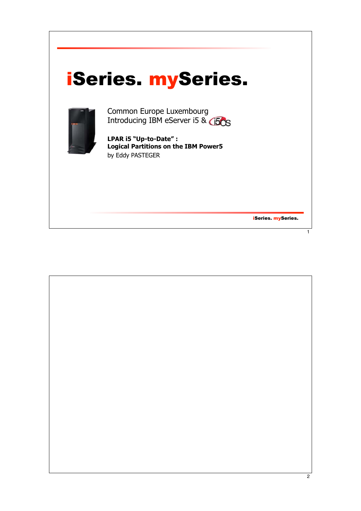## iSeries. mySeries.



Common Europe Luxembourg Introducing IBM eServer i5 &  $\bigcirc$ 50

**LPAR i5 "Up-to-Date" : Logical Partitions on the IBM Power5** by Eddy PASTEGER

iSeries. mySeries.

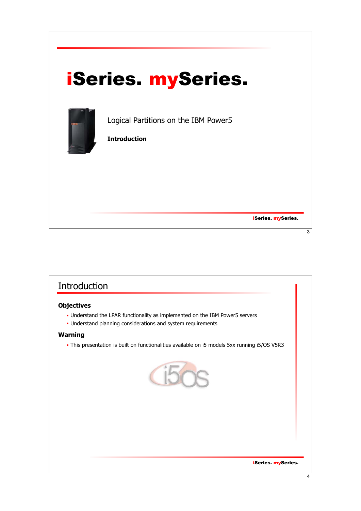

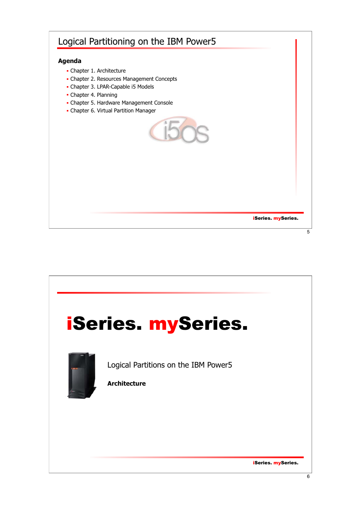## Logical Partitioning on the IBM Power5

#### **Agenda**

- Chapter 1. Architecture
- Chapter 2. Resources Management Concepts
- Chapter 3. LPAR-Capable i5 Models
- Chapter 4. Planning
- Chapter 5. Hardware Management Console
- Chapter 6. Virtual Partition Manager



iSeries. mySeries.

 $\overline{5}$ 

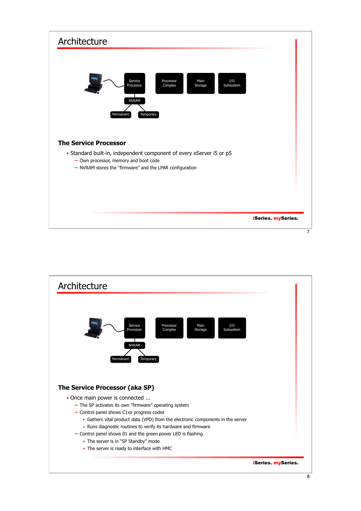

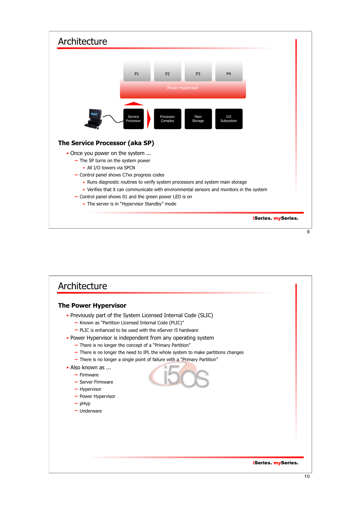

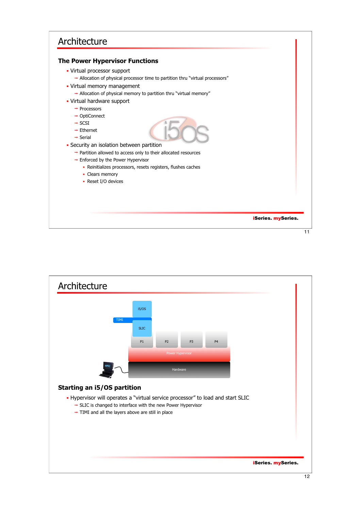## Architecture

#### **The Power Hypervisor Functions**

- Virtual processor support
	- $\rightarrow$  Allocation of physical processor time to partition thru "virtual processors"
- Virtual memory management
	- $\rightarrow$  Allocation of physical memory to partition thru "virtual memory"
- Virtual hardware support
	- $\rightarrow$  Processors
	- → OptiConnect
	- $\rightarrow$  SCSI
	- $\rightarrow$  Ethernet
	- $\rightarrow$  Serial
- **Security an isolation between partition** 
	- $\rightarrow$  Partition allowed to access only to their allocated resources
	- $\rightarrow$  Enforced by the Power Hypervisor
		- Reinitializes processors, resets registers, flushes caches
		- Clears memory
		- Reset I/O devices

iSeries. mySeries.

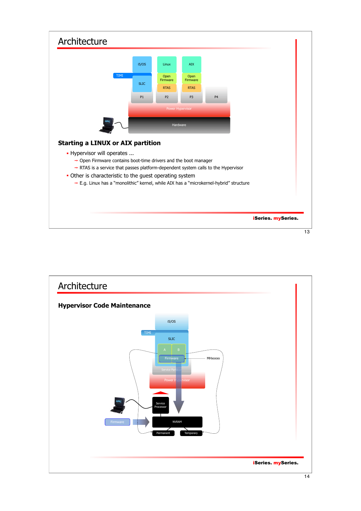

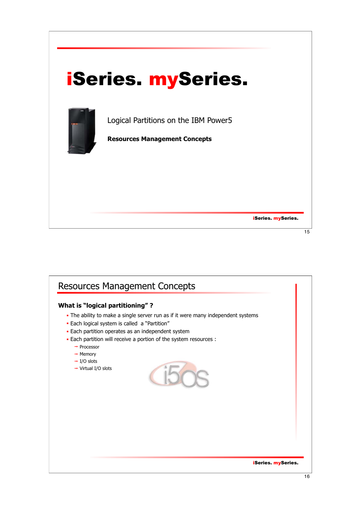

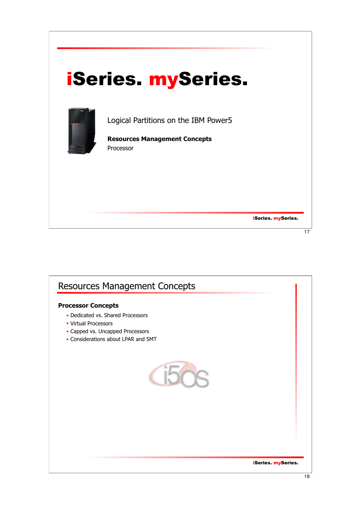

iSeries. mySeries.

 $\overline{17}$ 

# iSeries. mySeries. Resources Management Concepts **Processor Concepts** • Dedicated vs. Shared Processors Virtual Processors Capped vs. Uncapped Processors Considerations about LPAR and SMT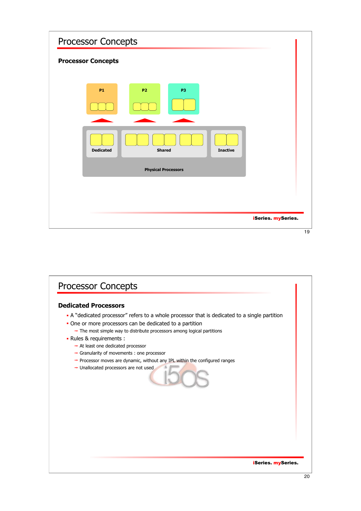| <b>Processor Concepts</b>                            |                    |    |
|------------------------------------------------------|--------------------|----|
| <b>Processor Concepts</b>                            |                    |    |
| <b>P1</b><br><b>P2</b><br>P3                         |                    |    |
|                                                      |                    |    |
| <b>Shared</b><br><b>Dedicated</b><br><b>Inactive</b> |                    |    |
| <b>Physical Processors</b>                           |                    |    |
|                                                      |                    |    |
|                                                      |                    |    |
|                                                      | iSeries. mySeries. | 19 |

## iSeries. mySeries. Processor Concepts **Dedicated Processors** A "dedicated processor" refers to a whole processor that is dedicated to a single partition One or more processors can be dedicated to a partition  $\rightarrow$  The most simple way to distribute processors among logical partitions Rules & requirements :  $\rightarrow$  At least one dedicated processor Granularity of movements : one processor  $\rightarrow$  Processor moves are dynamic, without any IPL within the configured ranges → Unallocated processors are not used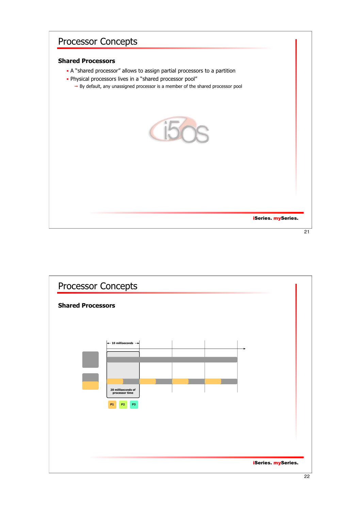#### **Shared Processors**

- A "shared processor" allows to assign partial processors to a partition
- Physical processors lives in a "shared processor pool"
	- $\rightarrow$  By default, any unassigned processor is a member of the shared processor pool



iSeries. mySeries.

 $\overline{21}$ 

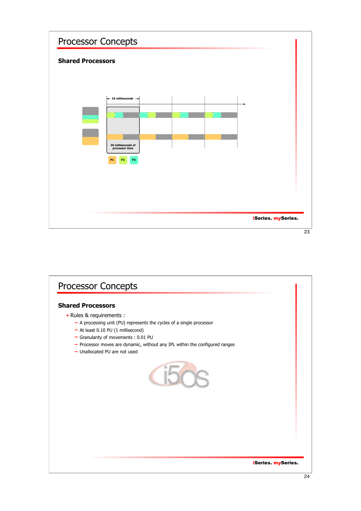

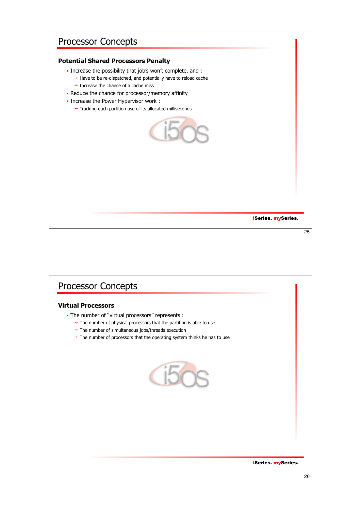#### **Potential Shared Processors Penalty**

- Increase the possibility that job's won't complete, and :
	- $\rightarrow$  Have to be re-dispatched, and potentially have to reload cache  $\rightarrow$  Increase the chance of a cache miss
- Reduce the chance for processor/memory affinity
- **Increase the Power Hypervisor work :** 
	- $\rightarrow$  Tracking each partition use of its allocated milliseconds



iSeries. mySeries.

25

# iSeries. mySeries. Processor Concepts **Virtual Processors** The number of "virtual processors" represents :  $\rightarrow$  The number of physical processors that the partition is able to use  $\rightarrow$  The number of simultaneous jobs/threads execution  $\rightarrow$  The number of processors that the operating system thinks he has to use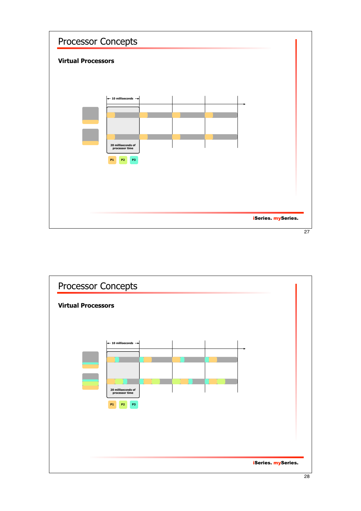

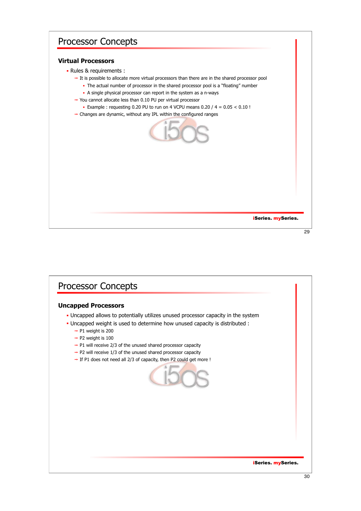#### **Virtual Processors**

- Rules & requirements :
	- $\rightarrow$  It is possible to allocate more virtual processors than there are in the shared processor pool
		- The actual number of processor in the shared processor pool is a "floating" number
		- A single physical processor can report in the system as a n-ways
	- $\rightarrow$  You cannot allocate less than 0.10 PU per virtual processor
		- Example : requesting 0.20 PU to run on 4 VCPU means  $0.20 / 4 = 0.05 < 0.10$ !
	- $\rightarrow$  Changes are dynamic, without any IPL within the configured ranges



iSeries. mySeries.

29

## Processor Concepts

#### **Uncapped Processors**

- Uncapped allows to potentially utilizes unused processor capacity in the system
- Uncapped weight is used to determine how unused capacity is distributed :
	- $\rightarrow$  P1 weight is 200
	- $\rightarrow$  P2 weight is 100
	- $\rightarrow$  P1 will receive 2/3 of the unused shared processor capacity
	- $\rightarrow$  P2 will receive 1/3 of the unused shared processor capacity
	- $\rightarrow$  If P1 does not need all 2/3 of capacity, then P2 could get more !

iSeries. mySeries.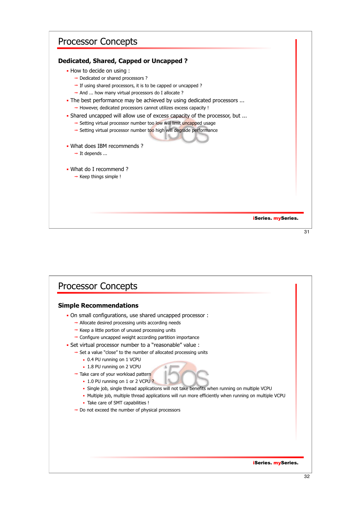#### **Dedicated, Shared, Capped or Uncapped ?**

- How to decide on using :
	- $\rightarrow$  Dedicated or shared processors ?
	- $\rightarrow$  If using shared processors, it is to be capped or uncapped ?
	- $\rightarrow$  And ... how many virtual processors do I allocate ?
- . The best performance may be achieved by using dedicated processors ...  $\rightarrow$  However, dedicated processors cannot utilizes excess capacity !
- Shared uncapped will allow use of excess capacity of the processor, but ...
	- Setting virtual processor number too low will limit uncapped usage
	- Setting virtual processor number too high will degrade performance
- What does IBM recommends ?
	- $\rightarrow$  It depends ...
- What do I recommend ?
	- $\rightarrow$  Keep things simple !

#### iSeries. mySeries.

 $\overline{31}$ 

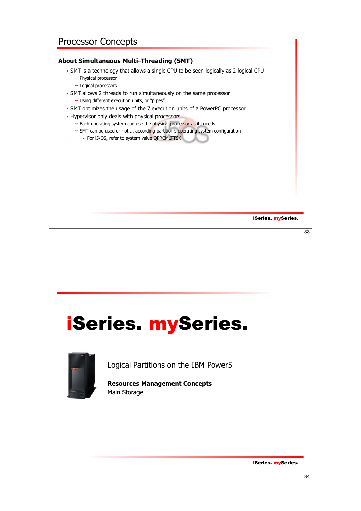## iSeries. mySeries. Processor Concepts **About Simultaneous Multi-Threading (SMT)** SMT is a technology that allows a single CPU to be seen logically as 2 logical CPU  $\rightarrow$  Physical processor  $\rightarrow$  Logical processors SMT allows 2 threads to run simultaneously on the same processor → Using different execution units, or "pipes" SMT optimizes the usage of the 7 execution units of a PowerPC processor - Hypervisor only deals with physical processors  $\rightarrow$  Each operating system can use the physical processor as its needs SMT can be used or not ... according partition's operating system configuration • For i5/OS, refer to system value QPRCMLTTSK 33

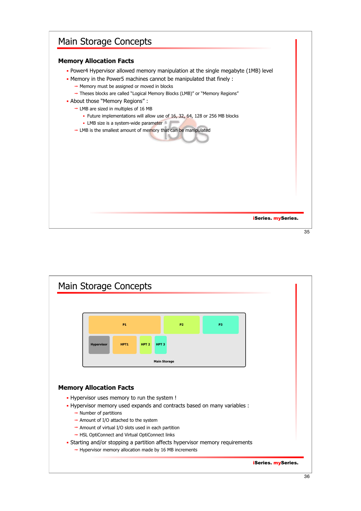## Main Storage Concepts

#### **Memory Allocation Facts**

- Power4 Hypervisor allowed memory manipulation at the single megabyte (1MB) level
- Memory in the Power5 machines cannot be manipulated that finely :
	- $\rightarrow$  Memory must be assigned or moved in blocks
	- → Theses blocks are called "Logical Memory Blocks (LMB)" or "Memory Regions"
- About those "Memory Regions" :
	- $\rightarrow$  LMB are sized in multiples of 16 MB
		- Future implementations will allow use of 16, 32, 64, 128 or 256 MB blocks
		- LMB size is a system-wide parameter
	- $\rightarrow$  LMB is the smallest amount of memory that can be manipulated



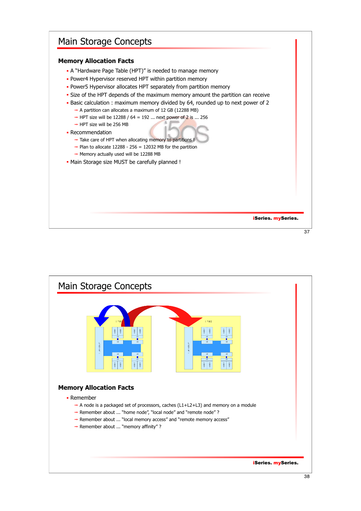### Main Storage Concepts

#### **Memory Allocation Facts**

- A "Hardware Page Table (HPT)" is needed to manage memory
- Power4 Hypervisor reserved HPT within partition memory
- Power5 Hypervisor allocates HPT separately from partition memory
- Size of the HPT depends of the maximum memory amount the partition can receive
- Basic calculation : maximum memory divided by 64, rounded up to next power of 2
	- $\rightarrow$  A partition can allocates a maximum of 12 GB (12288 MB)
	- $\rightarrow$  HPT size will be 12288 / 64 = 192 ... next power of 2 is ... 256
	- $\rightarrow$  HPT size will be 256 MB
- Recommendation
	- $\rightarrow$  Take care of HPT when allocating memory to partitions !
	- $\rightarrow$  Plan to allocate 12288 256 = 12032 MB for the partition
	- $\rightarrow$  Memory actually used will be 12288 MB
- Main Storage size MUST be carefully planned !

iSeries. mySeries.

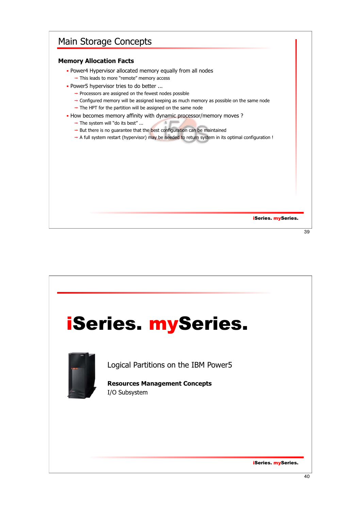## Main Storage Concepts

#### **Memory Allocation Facts**

- **Power4 Hypervisor allocated memory equally from all nodes** 
	- → This leads to more "remote" memory access
- Power5 hypervisor tries to do better ...
	- $\rightarrow$  Processors are assigned on the fewest nodes possible
	- $\rightarrow$  Configured memory will be assigned keeping as much memory as possible on the same node  $\rightarrow$  The HPT for the partition will be assigned on the same node
- How becomes memory affinity with dynamic processor/memory moves ?
	- → The system will "do its best" ...
	- $\rightarrow$  But there is no guarantee that the best configuration can be maintained
	- $\rightarrow$  A full system restart (hypervisor) may be needed to return system in its optimal configuration !

39

iSeries. mySeries.

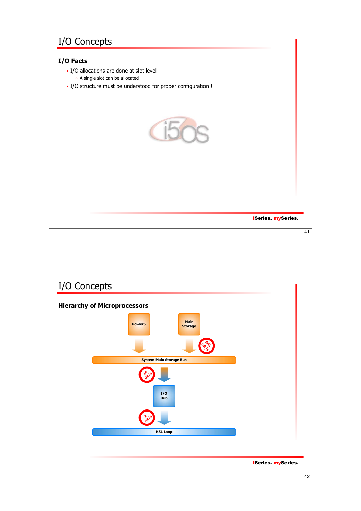## I/O Concepts

#### **I/O Facts**

- I/O allocations are done at slot level
	- $\rightarrow$  A single slot can be allocated
- I/O structure must be understood for proper configuration !



![](_page_20_Figure_6.jpeg)

![](_page_20_Figure_7.jpeg)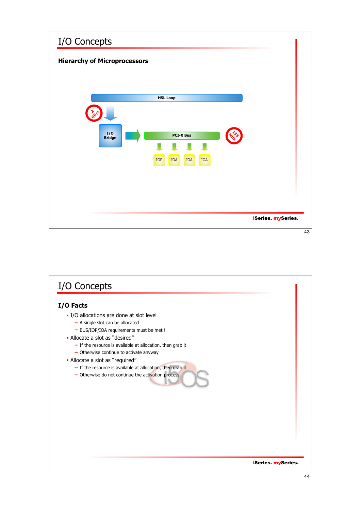![](_page_21_Figure_0.jpeg)

![](_page_21_Figure_1.jpeg)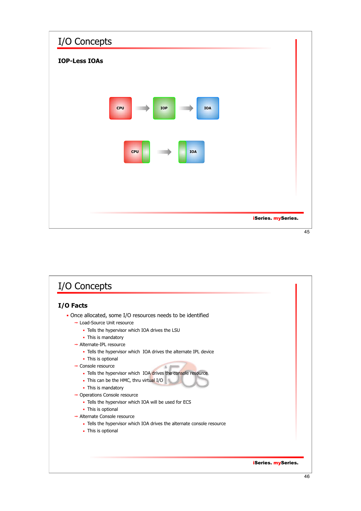![](_page_22_Figure_0.jpeg)

![](_page_22_Figure_1.jpeg)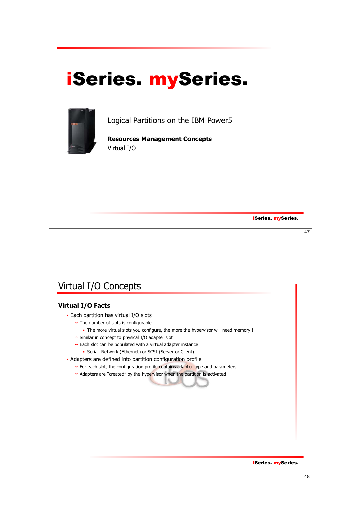## iSeries. mySeries.

![](_page_23_Picture_1.jpeg)

Logical Partitions on the IBM Power5

**Resources Management Concepts** Virtual I/O

iSeries. mySeries.

#### 47

## Virtual I/O Concepts

#### **Virtual I/O Facts**

- **Each partition has virtual I/O slots** 
	- $\rightarrow$  The number of slots is configurable
		- The more virtual slots you configure, the more the hypervisor will need memory !
	- $\rightarrow$  Similar in concept to physical I/O adapter slot
	- $\rightarrow$  Each slot can be populated with a virtual adapter instance Serial, Network (Ethernet) or SCSI (Server or Client)
- Adapters are defined into partition configuration profile
	- $\rightarrow$  For each slot, the configuration profile contains adapter type and parameters
	- $\rightarrow$  Adapters are "created" by the hypervisor when the partition is activated

iSeries. mySeries.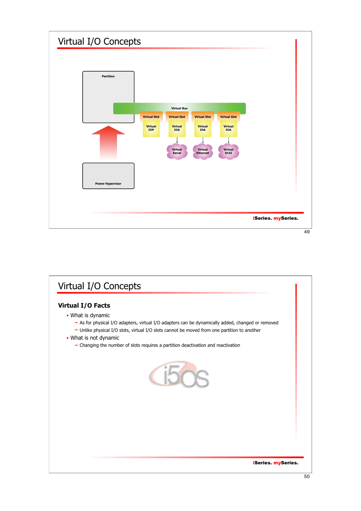![](_page_24_Figure_0.jpeg)

![](_page_24_Figure_1.jpeg)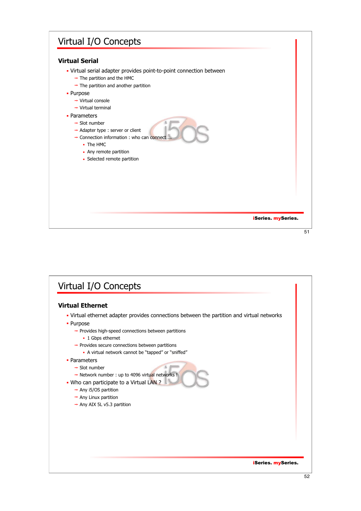## iSeries. mySeries. Virtual I/O Concepts **Virtual Serial** Virtual serial adapter provides point-to-point connection between  $\rightarrow$  The partition and the HMC  $\rightarrow$  The partition and another partition • Purpose → Virtual console  $\rightarrow$  Virtual terminal • Parameters  $\rightarrow$  Slot number  $\rightarrow$  Adapter type : server or client  $\rightarrow$  Connection information : who can connect. The HMC • Any remote partition **-** Selected remote partition 51

![](_page_25_Figure_1.jpeg)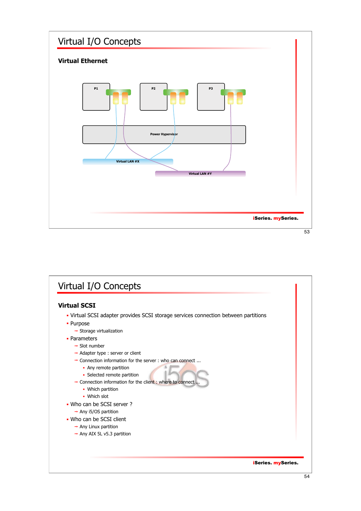![](_page_26_Figure_0.jpeg)

![](_page_26_Figure_1.jpeg)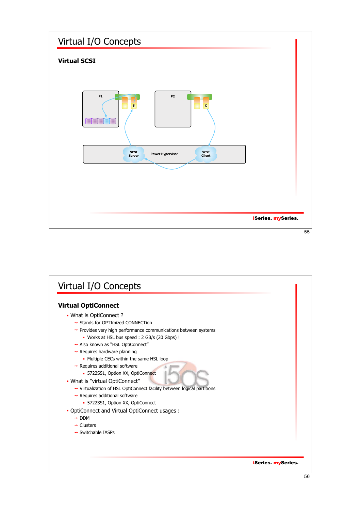![](_page_27_Figure_0.jpeg)

![](_page_27_Figure_1.jpeg)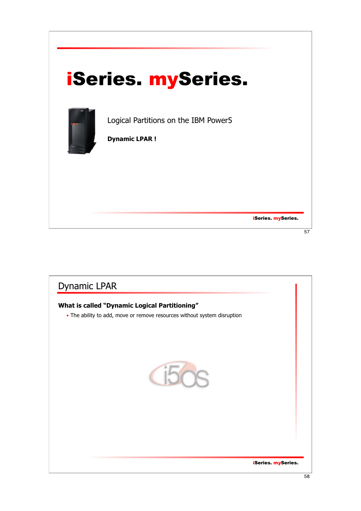![](_page_28_Picture_0.jpeg)

![](_page_28_Picture_1.jpeg)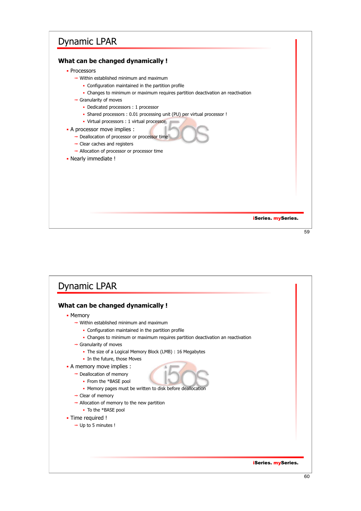## Dynamic LPAR

#### **What can be changed dynamically !**

- Processors
	- $\rightarrow$  Within established minimum and maximum
		- Configuration maintained in the partition profile
		- Changes to minimum or maximum requires partition deactivation an reactivation
	- $\rightarrow$  Granularity of moves
		- Dedicated processors : 1 processor
		- Shared processors : 0.01 processing unit (PU) per virtual processor !
		- Virtual processors : 1 virtual processor

#### A processor move implies :

- → Deallocation of processor or processor time
- $\rightarrow$  Clear caches and registers
- $\rightarrow$  Allocation of processor or processor time
- Nearly immediate !

iSeries. mySeries.

![](_page_29_Figure_17.jpeg)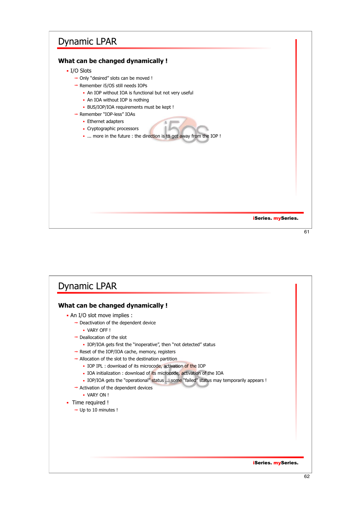## Dynamic LPAR

#### **What can be changed dynamically !**

- I/O Slots
	- → Only "desired" slots can be moved !
	- $\rightarrow$  Remember i5/OS still needs IOPs
		- An IOP without IOA is functional but not very useful
		- An IOA without IOP is nothing
		- BUS/IOP/IOA requirements must be kept !
	- → Remember "IOP-less" IOAs
		- **Ethernet adapters**
		- Cryptographic processors
		- ... more in the future : the direction is to get away from the IOP !

iSeries. mySeries.

 $\overline{61}$ 

## iSeries. mySeries. Dynamic LPAR **What can be changed dynamically !** An I/O slot move implies :  $\rightarrow$  Deactivation of the dependent device VARY OFF !  $\rightarrow$  Deallocation of the slot IOP/IOA gets first the "inoperative", then "not detected" status  $\rightarrow$  Reset of the IOP/IOA cache, memory, registers  $\rightarrow$  Allocation of the slot to the destination partition • IOP IPL : download of its microcode, activation of the IOP • IOA initialization : download of its microcode, activation of the IOA . IOP/IOA gets the "operational" status ... some "failed" status may temporarily appears !  $\rightarrow$  Activation of the dependent devices VARY ON ! • Time required !  $\rightarrow$  Up to 10 minutes !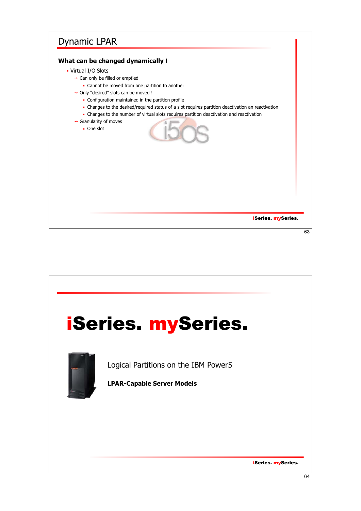## Dynamic LPAR

#### **What can be changed dynamically !**

- Virtual I/O Slots
	- $\rightarrow$  Can only be filled or emptied
		- Cannot be moved from one partition to another
	- → Only "desired" slots can be moved !
		- Configuration maintained in the partition profile
		- Changes to the desired/required status of a slot requires partition deactivation an reactivation
		- Changes to the number of virtual slots requires partition deactivation and reactivation
	- $\rightarrow$  Granularity of moves
		- One slot

![](_page_31_Picture_11.jpeg)

![](_page_31_Picture_13.jpeg)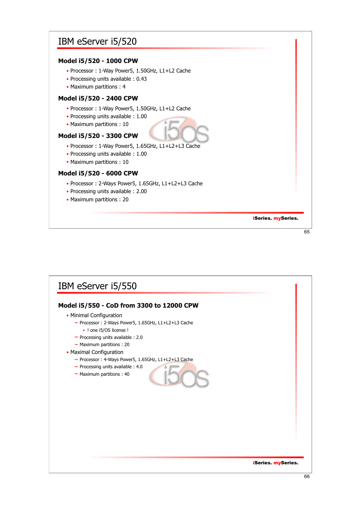### IBM eServer i5/520

#### **Model i5/520 - 1000 CPW**

- Processor : 1-Way Power5, 1.50GHz, L1+L2 Cache
- Processing units available : 0.43
- Maximum partitions : 4

#### **Model i5/520 - 2400 CPW**

- Processor : 1-Way Power5, 1.50GHz, L1+L2 Cache
- Processing units available : 1.00
- Maximum partitions : 10

#### **Model i5/520 - 3300 CPW**

- Processor : 1-Way Power5, 1.65GHz, L1+L2+L3 Cache
- Processing units available : 1.00
- Maximum partitions : 10

#### **Model i5/520 - 6000 CPW**

- Processor : 2-Ways Power5, 1.65GHz, L1+L2+L3 Cache
- Processing units available : 2.00
- Maximum partitions : 20

iSeries. mySeries.

65

## iSeries. mySeries. IBM eServer i5/550 **Model i5/550 - CoD from 3300 to 12000 CPW - Minimal Configuration** → Processor : 2-Ways Power5, 1.65GHz, L1+L2+L3 Cache ! one i5/OS license !  $\rightarrow$  Processing units available : 2.0  $\rightarrow$  Maximum partitions : 20 Maximal Configuration → Processor : 4-Ways Power5, 1.65GHz, L1+L2+L3 Cache  $\rightarrow$  Processing units available : 4.0  $\rightarrow$  Maximum partitions : 40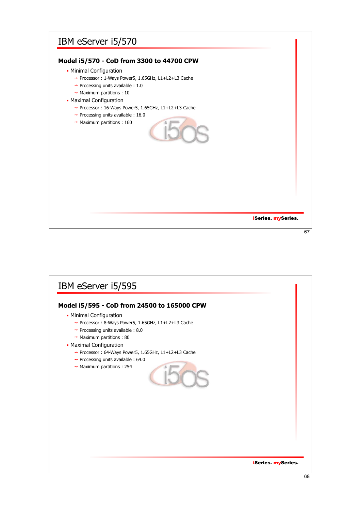## IBM eServer i5/570

#### **Model i5/570 - CoD from 3300 to 44700 CPW**

- Minimal Configuration
	- → Processor : 1-Ways Power5, 1.65GHz, L1+L2+L3 Cache
	- $\rightarrow$  Processing units available : 1.0
	- $\rightarrow$  Maximum partitions : 10
- **Maximal Configuration** 
	- → Processor : 16-Ways Power5, 1.65GHz, L1+L2+L3 Cache
	- $\rightarrow$  Processing units available : 16.0  $\rightarrow$  Maximum partitions : 160

![](_page_33_Picture_9.jpeg)

iSeries. mySeries.

67

## iSeries. mySeries. IBM eServer i5/595 **Model i5/595 - CoD from 24500 to 165000 CPW** Minimal Configuration → Processor : 8-Ways Power5, 1.65GHz, L1+L2+L3 Cache  $\rightarrow$  Processing units available : 8.0  $\rightarrow$  Maximum partitions : 80 **- Maximal Configuration** → Processor : 64-Ways Power5, 1.65GHz, L1+L2+L3 Cache  $\rightarrow$  Processing units available : 64.0  $\rightarrow$  Maximum partitions : 254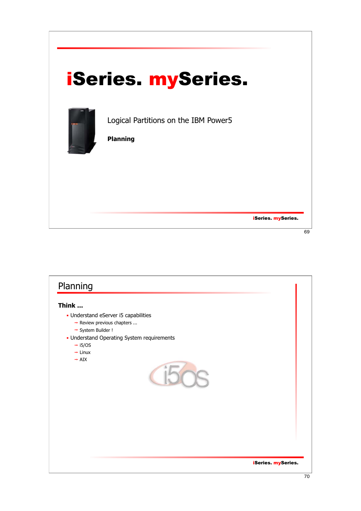| <b>iSeries. mySeries.</b>                               |                            |
|---------------------------------------------------------|----------------------------|
| Logical Partitions on the IBM Power5<br><b>Planning</b> |                            |
|                                                         | <b>iSeries</b> . mySeries. |
|                                                         | 69                         |

![](_page_34_Picture_1.jpeg)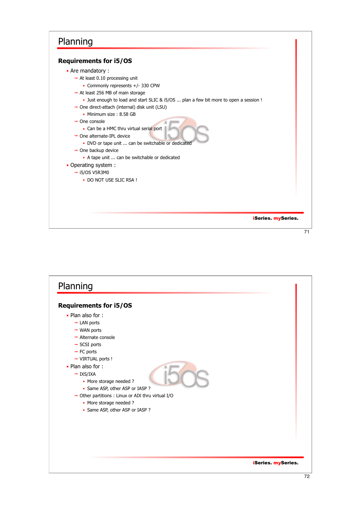![](_page_35_Figure_1.jpeg)

```
 Are mandatory :
```
- $\rightarrow$  At least 0.10 processing unit
	- Commonly represents +/- 330 CPW
- $\rightarrow$  At least 256 MB of main storage
	- Just enough to load and start SLIC & i5/OS ... plan a few bit more to open a session !
- → One direct-attach (internal) disk unit (LSU)
	- Minimum size: 8.58 GB
- $\rightarrow$  One console
	- Can be a HMC thru virtual serial port
- → One alternate-IPL device
	- DVD or tape unit ... can be switchable or dedicate
- $\rightarrow$  One backup device
	- A tape unit ... can be switchable or dedicated
- Operating system :  $\rightarrow$  i5/OS V5R3M0
	- . DO NOT USE SLIC RSA !

iSeries. mySeries.

![](_page_35_Figure_19.jpeg)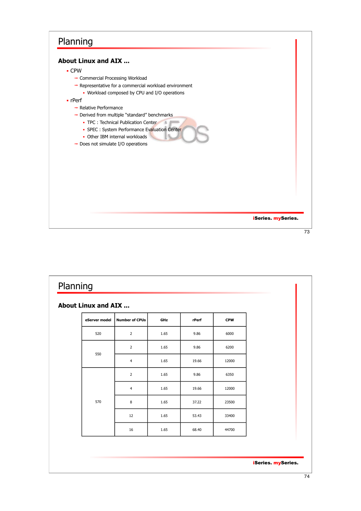![](_page_36_Figure_1.jpeg)

| About Linux and AIX |                         |      |       |            |
|---------------------|-------------------------|------|-------|------------|
| eServer model       | <b>Number of CPUs</b>   | GHz  | rPerf | <b>CPW</b> |
| 520                 | $\overline{2}$          | 1.65 | 9.86  | 6000       |
| 550                 | $\overline{2}$          | 1.65 | 9.86  | 6200       |
|                     | $\overline{\mathbf{4}}$ | 1.65 | 19.66 | 12000      |
| 570                 | $\overline{2}$          | 1.65 | 9.86  | 6350       |
|                     | $\overline{4}$          | 1.65 | 19.66 | 12000      |
|                     | 8                       | 1.65 | 37.22 | 23500      |
|                     | 12                      | 1.65 | 53.43 | 33400      |
|                     | 16                      | 1.65 | 68.40 | 44700      |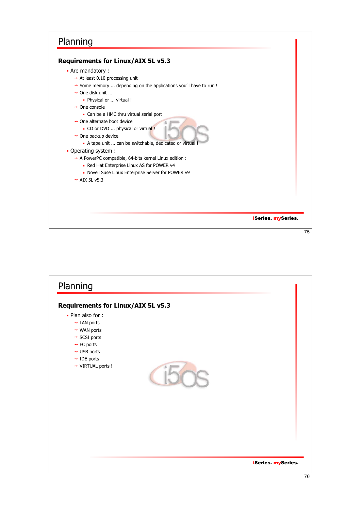### iSeries. mySeries. Planning **Requirements for Linux/AIX 5L v5.3** Are mandatory :  $\rightarrow$  At least 0.10 processing unit  $\rightarrow$  Some memory ... depending on the applications you'll have to run !  $\rightarrow$  One disk unit ... Physical or ... virtual !  $\rightarrow$  One console Can be a HMC thru virtual serial port  $\rightarrow$  One alternate boot device CD or DVD ... physical or virtual !  $\rightarrow$  One backup device A tape unit ... can be switchable, dedicated or virtual Operating system :  $\rightarrow$  A PowerPC compatible, 64-bits kernel Linux edition : • Red Hat Enterprise Linux AS for POWER v4 • Novell Suse Linux Enterprise Server for POWER v9  $\rightarrow$  AIX 5L v5.3 75

![](_page_37_Picture_1.jpeg)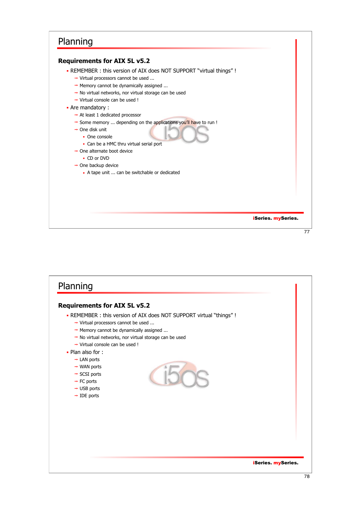#### **Requirements for AIX 5L v5.2**

REMEMBER : this version of AIX does NOT SUPPORT "virtual things" !

- → Virtual processors cannot be used ...
- $\rightarrow$  Memory cannot be dynamically assigned ...
- $\rightarrow$  No virtual networks, nor virtual storage can be used
- Virtual console can be used !

#### Are mandatory :

- $\rightarrow$  At least 1 dedicated processor
- Some memory ... depending on the applications you'll have to run !
- $\rightarrow$  One disk unit
	- One console
		- Can be a HMC thru virtual serial port
- $\rightarrow$  One alternate boot device
	- CD or DVD
- $\rightarrow$  One backup device
	- A tape unit ... can be switchable or dedicated

#### iSeries. mySeries.

![](_page_38_Figure_19.jpeg)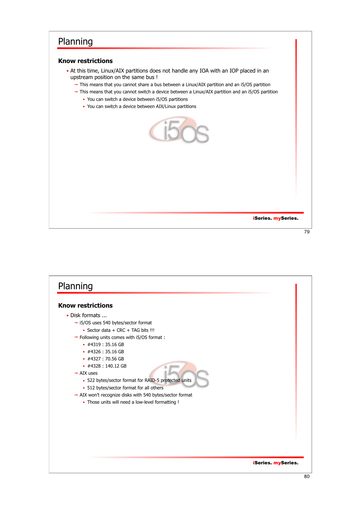#### **Know restrictions**

- At this time, Linux/AIX partitions does not handle any IOA with an IOP placed in an upstream position on the same bus !
	- $\rightarrow$  This means that you cannot share a bus between a Linux/AIX partition and an i5/OS partition
	- $\rightarrow$  This means that you cannot switch a device between a Linux/AIX partition and an i5/OS partition
		- You can switch a device between i5/OS partitions
		- You can switch a device between AIX/Linux partitions

![](_page_39_Picture_7.jpeg)

iSeries. mySeries.

![](_page_39_Figure_10.jpeg)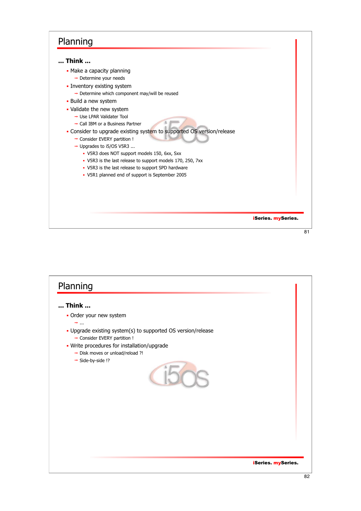#### **... Think ...**

- Make a capacity planning
	- $\rightarrow$  Determine your needs
- **Inventory existing system** 
	- $\rightarrow$  Determine which component may/will be reused
- **Build a new system**
- Validate the new system
	- → Use LPAR Validater Tool
	- → Call IBM or a Business Partner
- Consider to upgrade existing system to supported OS version/release
	- → Consider EVERY partition !
	- → Upgrades to i5/OS V5R3 ...
		- V5R3 does NOT support models 150, 6xx, Sxx
		- V5R3 is the last release to support models 170, 250, 7xx
		- V5R3 is the last release to support SPD hardware
		- V5R1 planned end of support is September 2005

iSeries. mySeries.

![](_page_40_Figure_19.jpeg)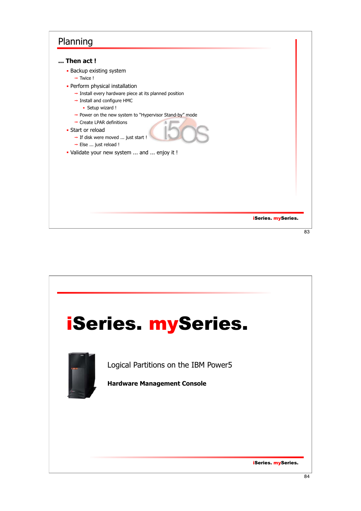![](_page_41_Figure_1.jpeg)

![](_page_41_Picture_2.jpeg)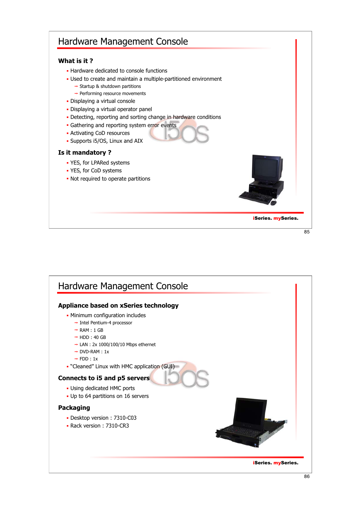## iSeries. mySeries. Hardware Management Console **What is it ? - Hardware dedicated to console functions**  Used to create and maintain a multiple-partitioned environment  $\rightarrow$  Startup & shutdown partitions  $\rightarrow$  Performing resource movements Displaying a virtual console Displaying a virtual operator panel - Detecting, reporting and sorting change in hardware conditions **Gathering and reporting system error events**  Activating CoD resources Supports i5/OS, Linux and AIX **Is it mandatory ?** YES, for LPARed systems YES, for CoD systems • Not required to operate partitions

![](_page_42_Picture_2.jpeg)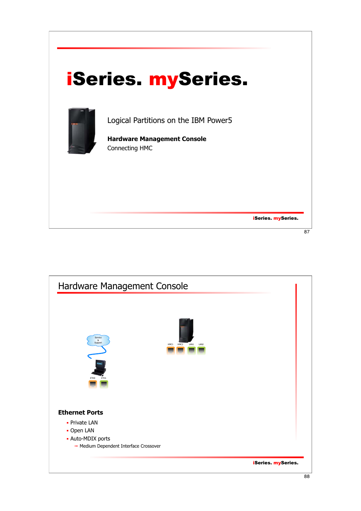![](_page_43_Picture_0.jpeg)

![](_page_43_Figure_1.jpeg)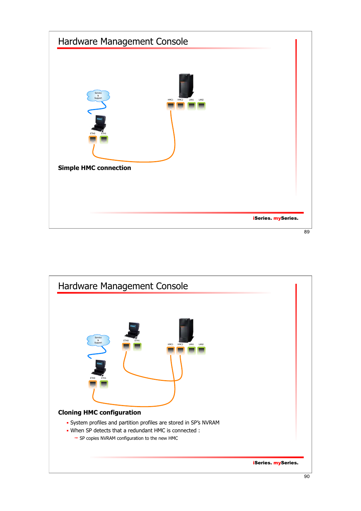![](_page_44_Figure_0.jpeg)

![](_page_44_Figure_1.jpeg)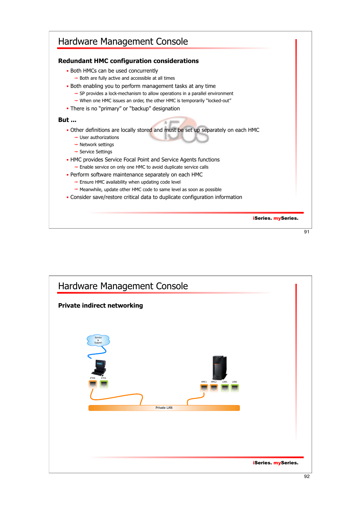![](_page_45_Figure_0.jpeg)

![](_page_45_Figure_1.jpeg)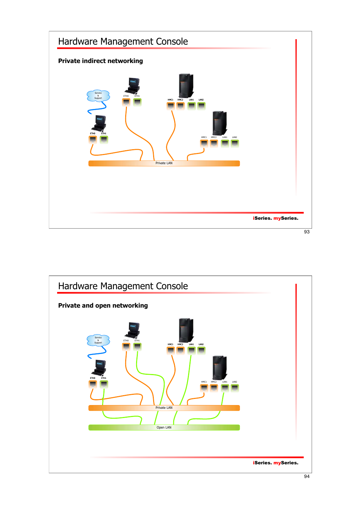![](_page_46_Figure_0.jpeg)

![](_page_46_Figure_1.jpeg)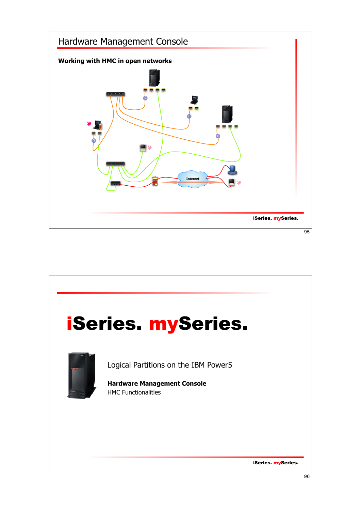![](_page_47_Figure_0.jpeg)

![](_page_47_Picture_1.jpeg)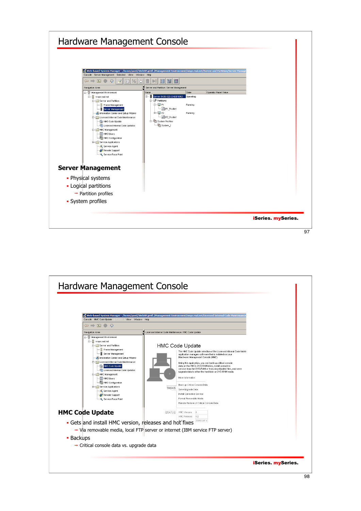![](_page_48_Figure_0.jpeg)

![](_page_48_Figure_1.jpeg)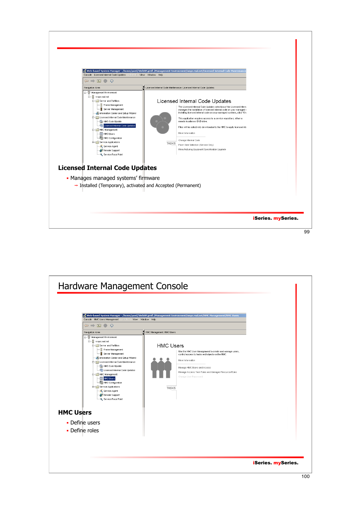![](_page_49_Figure_0.jpeg)

![](_page_49_Figure_1.jpeg)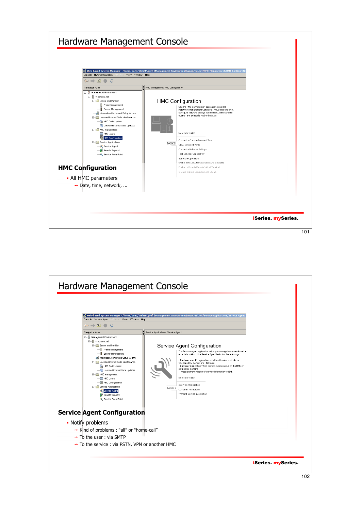![](_page_50_Figure_0.jpeg)

![](_page_50_Figure_1.jpeg)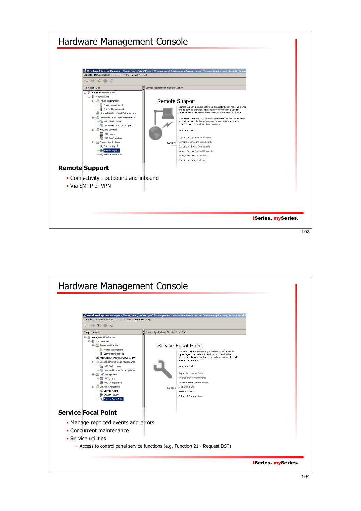![](_page_51_Figure_0.jpeg)

![](_page_51_Figure_1.jpeg)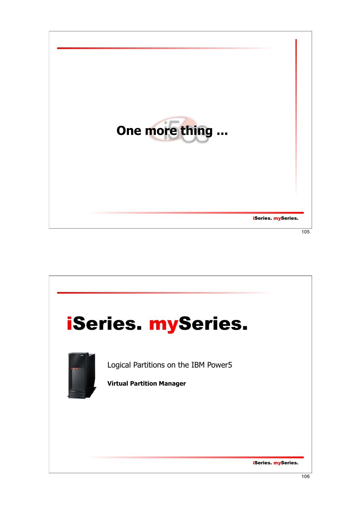![](_page_52_Picture_0.jpeg)

![](_page_52_Picture_1.jpeg)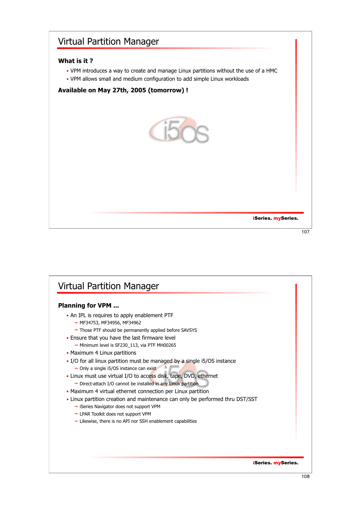# iSeries. mySeries. Virtual Partition Manager **What is it ?** VPM introduces a way to create and manage Linux partitions without the use of a HMC VPM allows small and medium configuration to add simple Linux workloads **Available on May 27th, 2005 (tomorrow) !** 107

![](_page_53_Picture_1.jpeg)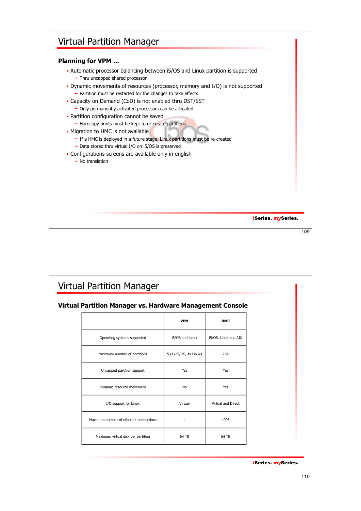![](_page_54_Figure_0.jpeg)

| ٠<br>I<br>۰. | ٠<br>۰. |
|--------------|---------|
|              |         |

| Virtual Partition Manager vs. Hardware Management Console |                        |                      |  |
|-----------------------------------------------------------|------------------------|----------------------|--|
|                                                           | <b>VPM</b>             | <b>HMC</b>           |  |
| Operating systems supported                               | i5/OS and Linux        | i5/OS, Linux and AIX |  |
| Maximum number of partitions                              | 5 (1x i5/OS, 4x Linux) | 254                  |  |
| Uncapped partition support                                | Yes                    | Yes                  |  |
| Dynamic resource movement                                 | <b>No</b>              | Yes                  |  |
| I/O support for Linux                                     | Virtual                | Virtual and Direct   |  |
| Maximum number of ethernet connections                    | $\overline{4}$         | 4096                 |  |
| Maximum virtual disk per partition                        | 64 TB                  | 64 TB                |  |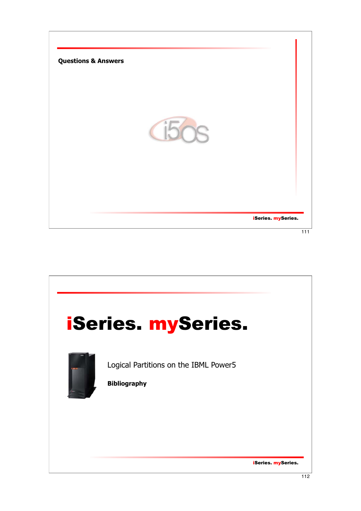![](_page_55_Picture_0.jpeg)

![](_page_55_Picture_1.jpeg)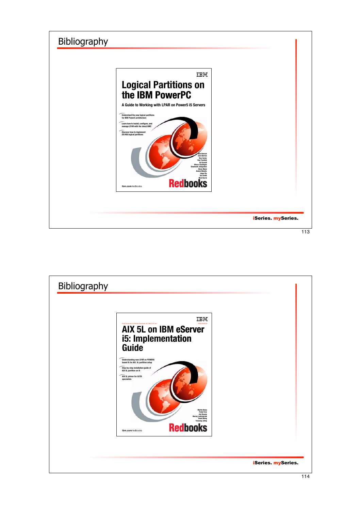![](_page_56_Picture_0.jpeg)

![](_page_56_Picture_1.jpeg)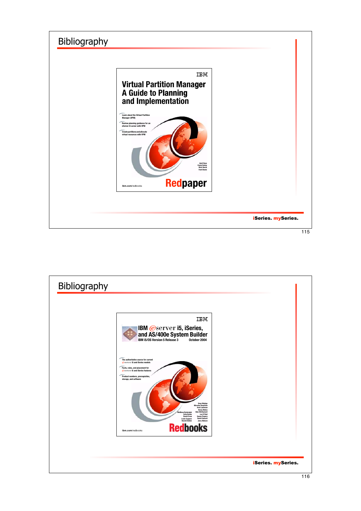![](_page_57_Picture_0.jpeg)

![](_page_57_Picture_1.jpeg)